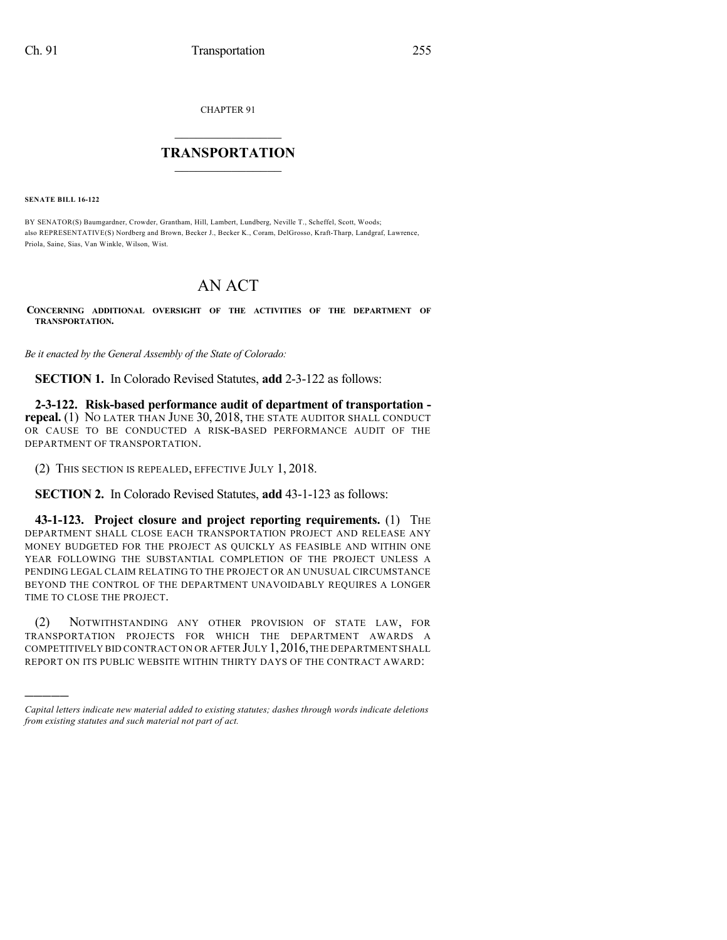CHAPTER 91

## $\overline{\phantom{a}}$  . The set of the set of the set of the set of the set of the set of the set of the set of the set of the set of the set of the set of the set of the set of the set of the set of the set of the set of the set o **TRANSPORTATION**  $\_$   $\_$   $\_$   $\_$   $\_$   $\_$   $\_$   $\_$   $\_$

**SENATE BILL 16-122**

)))))

BY SENATOR(S) Baumgardner, Crowder, Grantham, Hill, Lambert, Lundberg, Neville T., Scheffel, Scott, Woods; also REPRESENTATIVE(S) Nordberg and Brown, Becker J., Becker K., Coram, DelGrosso, Kraft-Tharp, Landgraf, Lawrence, Priola, Saine, Sias, Van Winkle, Wilson, Wist.

## AN ACT

**CONCERNING ADDITIONAL OVERSIGHT OF THE ACTIVITIES OF THE DEPARTMENT OF TRANSPORTATION.**

*Be it enacted by the General Assembly of the State of Colorado:*

**SECTION 1.** In Colorado Revised Statutes, **add** 2-3-122 as follows:

**2-3-122. Risk-based performance audit of department of transportation repeal.** (1) NO LATER THAN JUNE 30, 2018, THE STATE AUDITOR SHALL CONDUCT OR CAUSE TO BE CONDUCTED A RISK-BASED PERFORMANCE AUDIT OF THE DEPARTMENT OF TRANSPORTATION.

(2) THIS SECTION IS REPEALED, EFFECTIVE JULY 1, 2018.

**SECTION 2.** In Colorado Revised Statutes, **add** 43-1-123 as follows:

**43-1-123. Project closure and project reporting requirements.** (1) THE DEPARTMENT SHALL CLOSE EACH TRANSPORTATION PROJECT AND RELEASE ANY MONEY BUDGETED FOR THE PROJECT AS QUICKLY AS FEASIBLE AND WITHIN ONE YEAR FOLLOWING THE SUBSTANTIAL COMPLETION OF THE PROJECT UNLESS A PENDING LEGAL CLAIM RELATING TO THE PROJECT OR AN UNUSUAL CIRCUMSTANCE BEYOND THE CONTROL OF THE DEPARTMENT UNAVOIDABLY REQUIRES A LONGER TIME TO CLOSE THE PROJECT.

(2) NOTWITHSTANDING ANY OTHER PROVISION OF STATE LAW, FOR TRANSPORTATION PROJECTS FOR WHICH THE DEPARTMENT AWARDS A COMPETITIVELY BID CONTRACT ON OR AFTER JULY 1,2016,THE DEPARTMENT SHALL REPORT ON ITS PUBLIC WEBSITE WITHIN THIRTY DAYS OF THE CONTRACT AWARD:

*Capital letters indicate new material added to existing statutes; dashes through words indicate deletions from existing statutes and such material not part of act.*